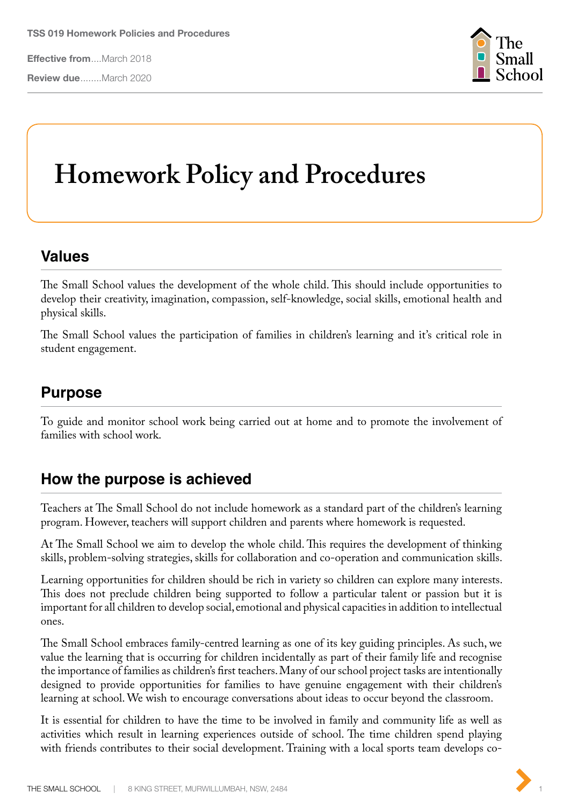**Effective from**....March 2018

**Review due**........March 2020



## **Homework Policy and Procedures**

## **Values**

The Small School values the development of the whole child. This should include opportunities to develop their creativity, imagination, compassion, self-knowledge, social skills, emotional health and physical skills.

The Small School values the participation of families in children's learning and it's critical role in student engagement.

## **Purpose**

To guide and monitor school work being carried out at home and to promote the involvement of families with school work.

## **How the purpose is achieved**

Teachers at The Small School do not include homework as a standard part of the children's learning program. However, teachers will support children and parents where homework is requested.

At The Small School we aim to develop the whole child. This requires the development of thinking skills, problem-solving strategies, skills for collaboration and co-operation and communication skills.

Learning opportunities for children should be rich in variety so children can explore many interests. This does not preclude children being supported to follow a particular talent or passion but it is important for all children to develop social, emotional and physical capacities in addition to intellectual ones.

The Small School embraces family-centred learning as one of its key guiding principles. As such, we value the learning that is occurring for children incidentally as part of their family life and recognise the importance of families as children's first teachers. Many of our school project tasks are intentionally designed to provide opportunities for families to have genuine engagement with their children's learning at school. We wish to encourage conversations about ideas to occur beyond the classroom.

It is essential for children to have the time to be involved in family and community life as well as activities which result in learning experiences outside of school. The time children spend playing with friends contributes to their social development. Training with a local sports team develops co